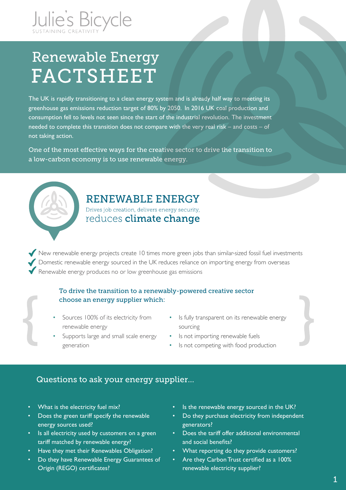

# Renewable Energy **FACTSHEET**

The UK is rapidly transitioning to a clean energy system and is already half way to meeting its greenhouse gas emissions reduction target of 80% by 2050. In 2016 UK coal production and consumption fell to levels not seen since the start of the industrial revolution. The investment needed to complete this transition does not compare with the very real risk – and costs – of not taking action.

One of the most effective ways for the creative sector to drive the transition to a low-carbon economy is to use renewable energy.



### RENEWABLE ENERGY

Drives job creation, delivers energy security, reduces climate change

New renewable energy projects create 10 times more green jobs than similar-sized fossil fuel investments Domestic renewable energy sourced in the UK reduces reliance on importing energy from overseas Renewable energy produces no or low greenhouse gas emissions

#### To drive the transition to a renewably-powered creative sector choose an energy supplier which:

- Sources 100% of its electricity from renewable energy
- Is fully transparent on its renewable energy sourcing
- Supports large and small scale energy generation
- Is not importing renewable fuels
- Is not competing with food production

### Questions to ask your energy supplier…

- What is the electricity fuel mix?
- Does the green tariff specify the renewable energy sources used?
- Is all electricity used by customers on a green tariff matched by renewable energy?
- Have they met their Renewables Obligation?
- Do they have Renewable Energy Guarantees of Origin (REGO) certificates?
- Is the renewable energy sourced in the UK?
- Do they purchase electricity from independent generators?
- Does the tariff offer additional environmental and social benefits?
- What reporting do they provide customers?
- Are they Carbon Trust certified as a 100% renewable electricity supplier?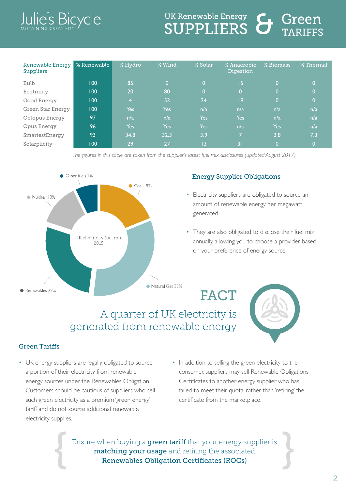### llie's Bic ycle

# **UK Renewable Energy SUPPLIERS**

| <b>Renewable Energy</b><br><b>Suppliers</b> | % Renewable | % Hydro        | % Wind           | % Solar        | % Anaerobic<br>Digestion | % Biomass      | % Thermal |
|---------------------------------------------|-------------|----------------|------------------|----------------|--------------------------|----------------|-----------|
| <b>Bulb</b>                                 | 100         | 85             | $\mathbf{0}$     | 0              | 15                       | 0.             | Ο.        |
| Ecotricity                                  | 100         | 20             | 80               | $\overline{0}$ | $\overline{0}$           | 0              | O.        |
| Good Energy                                 | 100         | $\overline{4}$ | 53               | 24             | 9                        | $\overline{0}$ | Ο,        |
| Green Star Energy                           | 100         | Yes            | Yes              | n/a            | n/a                      | n/a            | n/a       |
| Octopus Energy                              | 97          | n/a            | n/a              | <b>Yes</b>     | <b>Yes</b>               | n/a            | n/a       |
| Opus Energy                                 | 96          | <b>Yes</b>     | Yes <sup>1</sup> | <b>Yes</b>     | n/a                      | Yes            | n/a       |
| SmartestEnergy                              | 93          | 34.8           | 32.3             | 3.9            | 7                        | 2.8            | 7.3       |
| Solarplicity                                | 100         | 29             | 27               | 13             | 31                       | $\overline{0}$ | Ο,        |

*The figures in this table are taken from the supplier's latest fuel mix disclosures (updated August 2017)*



#### Energy Supplier Obligations

- Electricity suppliers are obligated to source an amount of renewable energy per megawatt generated.
- They are also obligated to disclose their fuel mix annually, allowing you to choose a provider based on your preference of energy source.

FACT

## A quarter of UK electricity is generated from renewable energy

#### Green Tariffs

- UK energy suppliers are legally obligated to source a portion of their electricity from renewable energy sources under the Renewables Obligation. Customers should be cautious of suppliers who sell such green electricity as a premium 'green energy' tariff and do not source additional renewable electricity supplies.
- In addition to selling the green electricity to the consumer, suppliers may sell Renewable Obligations Certificates to another energy supplier who has failed to meet their quota, rather than 'retiring' the certificate from the marketplace.

Ensure when buying a **green tariff** that your energy supplier is matching your usage and retiring the associated Renewables Obligation Certificates (ROCs)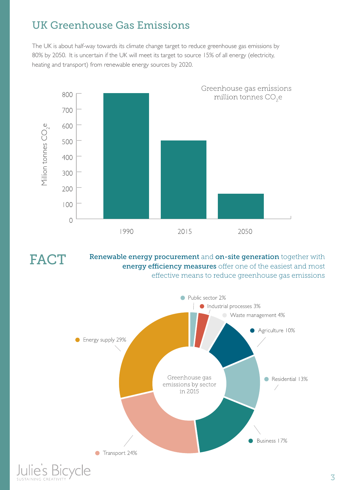## UK Greenhouse Gas Emissions

The UK is about half-way towards its climate change target to reduce greenhouse gas emissions by 80% by 2050. It is uncertain if the UK will meet its target to source 15% of all energy (electricity, heating and transport) from renewable energy sources by 2020.



FACT

Renewable energy procurement and on-site generation together with energy efficiency measures offer one of the easiest and most effective means to reduce greenhouse gas emissions

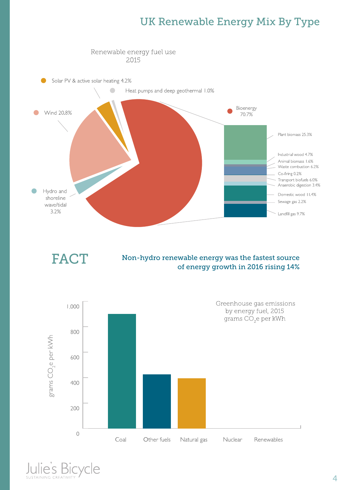## UK Renewable Energy Mix By Type



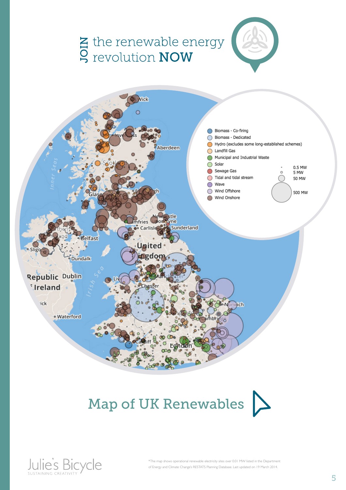

# Map of UK Renewables  $\sum$

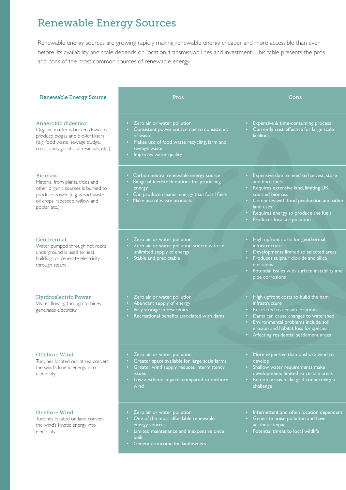# Renewable Energy Sources

Renewable energy sources are growing rapidly making renewable energy cheaper and more accessible than ever before. Its availability and scale depends on location, transmission lines and investment. This table presents the pros and cons of the most common sources of renewable energy.

| <b>Renewable Energy Source</b>                                                                                                                                                 | Pros                                                                                                                                                                                                                                        | Cons                                                                                                                                                                                                                                                                         |
|--------------------------------------------------------------------------------------------------------------------------------------------------------------------------------|---------------------------------------------------------------------------------------------------------------------------------------------------------------------------------------------------------------------------------------------|------------------------------------------------------------------------------------------------------------------------------------------------------------------------------------------------------------------------------------------------------------------------------|
| Anaerobic digestion<br>Organic matter is broken down to<br>produce biogas and bio-fertilisers<br>(e.g. food waste, sewage sludge,<br>crops, and agricultural residuals, etc.)  | Zero air or water pollution<br>٠<br>Consistent power source due to consistency<br>of waste<br>• Makes use of food waste recycling, farm and<br>sewage waste<br>Improves water quality<br>$\bullet$                                          | Expensive & time-consuming process<br>Currently cost-effective for large scale<br><b>facilities</b>                                                                                                                                                                          |
| <b>Biomass</b><br>Material from plants, trees and<br>other organic sources is burned to<br>produce power (e.g. wood waste,<br>oil crops, rapeseed, willow and<br>poplar, etc.) | Carbon neutral renewable energy source<br>$\bullet$ .<br>Range of feedstock options for producing<br>$\bullet$<br>energy<br>Can produce cleaner energy than fossil fuels<br>$\bullet$ .<br>• Make use of waste products                     | Expensive due to need to harvest, store<br>$\bullet$ .<br>and burn fuels<br>Requires extensive land, limiting UK<br>sourced biomass<br>• Competes with food production and other<br>land uses<br>Requires energy to produce the fuels<br>Produces local air pollution        |
| Geothermal<br>Water pumped through hot rocks<br>underground is used to heat<br>buildings or generate electricity<br>through steam                                              | Zero air or water pollution<br>$\bullet$ .<br>• Zero air or water pollution source with an<br>unlimited supply of energy<br>• Stable and predictable                                                                                        | High upfront costs for geothermal<br><i>infrastructure</i><br>Developments limited to selected areas<br>Produces sulphur dioxide and silica<br>$\bullet$ .<br>emissions<br>Potential issues with surface instability and<br>pipe corrosions                                  |
| <b>Hyrdroelectric Power</b><br>Water flowing through turbines<br>generates electricity                                                                                         | Zero air or water pollution<br>٠<br>Abundant supply of energy<br>٠<br>Easy storage in reservoirs<br>$\bullet$<br>Recreational benefits associated with dams                                                                                 | High upfront costs to build the dam<br><i>infrastructure</i><br>Restricted to certain locations<br>Dams can cause changes to watershed<br>Environmental problems include soil<br>$\bullet$<br>erosion and habitat loss for species<br>Affecting residential settlement areas |
| <b>Offshore Wind</b><br>Turbines located out at sea convert<br>the wind's kinetic energy into<br>electricity                                                                   | Zero air or water pollution<br>$\bullet$<br>Greater space available for large scale farms<br>٠<br>Greater wind supply reduces intermittency<br>$\bullet$<br><i>issues</i><br>Low aesthetic impacts compared to onshore<br>$\bullet$<br>wind | • More expensive than onshore wind to<br>develop<br>• Shallow water requirements make<br>developments limited to certain areas<br>Remote areas make grid connectivity a<br>$\bullet$ .<br>challenge                                                                          |
| Onshore Wind<br>Turbines located on land convert<br>the wind's kinetic energy into<br>electricity                                                                              | Zero air or water pollution<br>٠<br>One of the most affordable renewable<br>$\bullet$<br>energy sources<br>• Limited maintenance and inexpensive once<br><b>built</b><br>Generates income for landowners<br>$\bullet$                       | Intermittent and often location dependent<br>Generate noise pollution and have<br>aesthetic impact<br>Potential threat to local wildlife                                                                                                                                     |